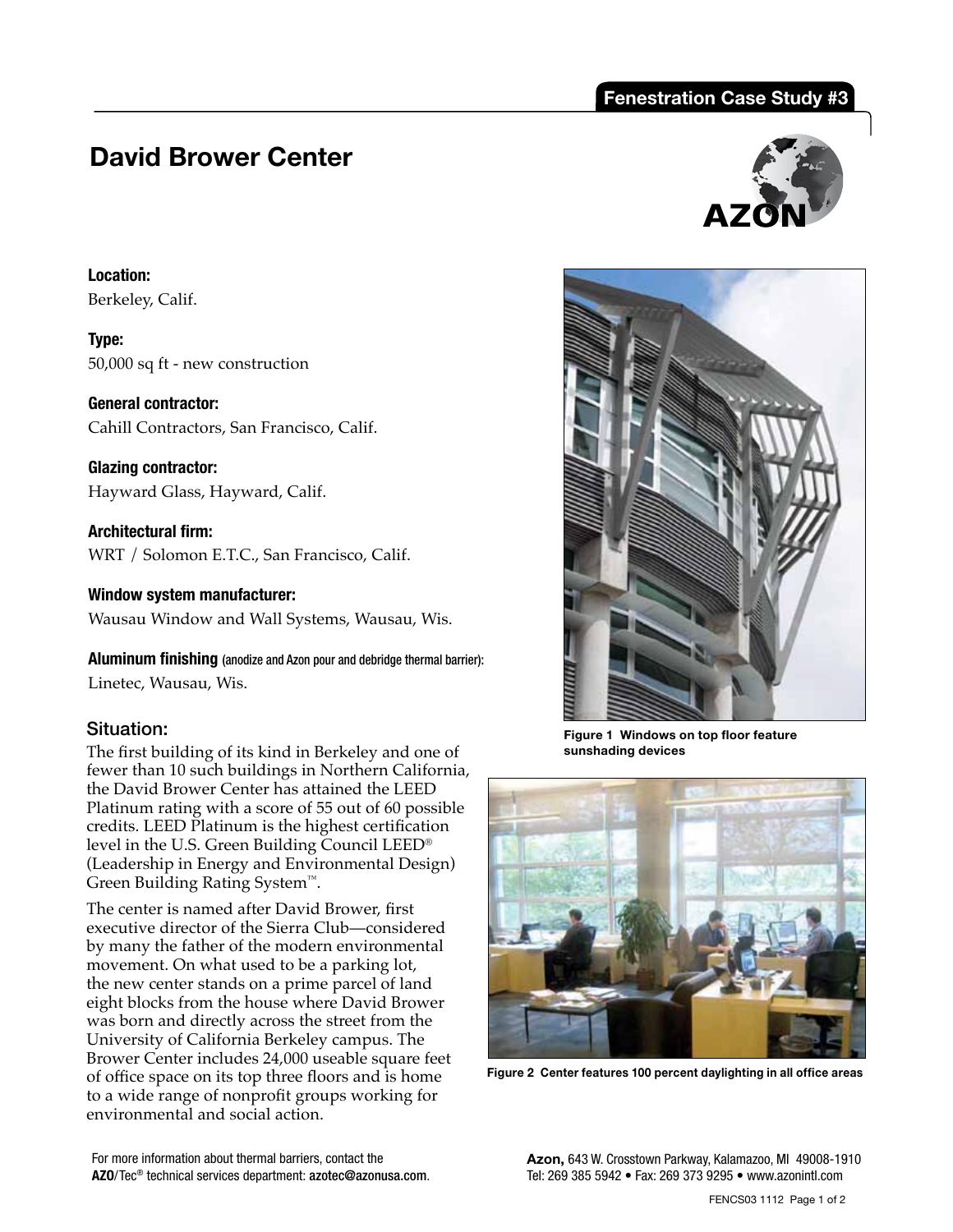## **Fenestration Case Study #3**

# **David Brower Center**

**Location:**  Berkeley, Calif.

**Type:**  50,000 sq ft - new construction

**General contractor:**  Cahill Contractors, San Francisco, Calif.

**Glazing contractor:**  Hayward Glass, Hayward, Calif.

**Architectural firm:**  WRT / Solomon E.T.C., San Francisco, Calif.

**Window system manufacturer:**  Wausau Window and Wall Systems, Wausau, Wis.

**Aluminum finishing** (anodize and Azon pour and debridge thermal barrier): Linetec, Wausau, Wis.

### Situation:

The first building of its kind in Berkeley and one of fewer than 10 such buildings in Northern California, the David Brower Center has attained the LEED Platinum rating with a score of 55 out of 60 possible credits. LEED Platinum is the highest certification level in the U.S. Green Building Council LEED® (Leadership in Energy and Environmental Design) Green Building Rating System™.

The center is named after David Brower, first executive director of the Sierra Club—considered by many the father of the modern environmental movement. On what used to be a parking lot, the new center stands on a prime parcel of land eight blocks from the house where David Brower was born and directly across the street from the University of California Berkeley campus. The Brower Center includes 24,000 useable square feet of office space on its top three floors and is home to a wide range of nonprofit groups working for environmental and social action.





**Figure 1 Windows on top floor feature sunshading devices**



**Figure 2 Center features 100 percent daylighting in all office areas** 

For more information about thermal barriers, contact the **AZO**/Tec® technical services department: azotec@azonusa.com. **Azon,** 643 W. Crosstown Parkway, Kalamazoo, MI 49008-1910 Tel: 269 385 5942 • Fax: 269 373 9295 • www.azonintl.com